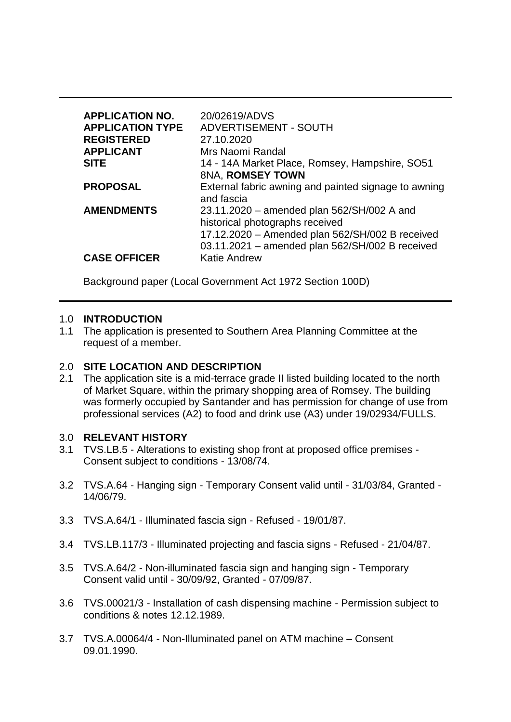| <b>APPLICATION NO.</b><br><b>APPLICATION TYPE</b><br><b>REGISTERED</b><br><b>APPLICANT</b><br><b>SITE</b> | 20/02619/ADVS<br><b>ADVERTISEMENT - SOUTH</b><br>27.10.2020<br>Mrs Naomi Randal<br>14 - 14A Market Place, Romsey, Hampshire, SO51                                                   |
|-----------------------------------------------------------------------------------------------------------|-------------------------------------------------------------------------------------------------------------------------------------------------------------------------------------|
|                                                                                                           | 8NA, ROMSEY TOWN                                                                                                                                                                    |
| <b>PROPOSAL</b>                                                                                           | External fabric awning and painted signage to awning<br>and fascia                                                                                                                  |
| <b>AMENDMENTS</b>                                                                                         | 23.11.2020 – amended plan 562/SH/002 A and<br>historical photographs received<br>17.12.2020 - Amended plan 562/SH/002 B received<br>03.11.2021 - amended plan 562/SH/002 B received |
| <b>CASE OFFICER</b>                                                                                       | <b>Katie Andrew</b>                                                                                                                                                                 |

Background paper (Local Government Act 1972 Section 100D)

#### 1.0 **INTRODUCTION**

1.1 The application is presented to Southern Area Planning Committee at the request of a member.

#### 2.0 **SITE LOCATION AND DESCRIPTION**

2.1 The application site is a mid-terrace grade II listed building located to the north of Market Square, within the primary shopping area of Romsey. The building was formerly occupied by Santander and has permission for change of use from professional services (A2) to food and drink use (A3) under 19/02934/FULLS.

#### 3.0 **RELEVANT HISTORY**

- 3.1 TVS.LB.5 Alterations to existing shop front at proposed office premises Consent subject to conditions - 13/08/74.
- 3.2 TVS.A.64 Hanging sign Temporary Consent valid until 31/03/84, Granted 14/06/79.
- 3.3 TVS.A.64/1 Illuminated fascia sign Refused 19/01/87.
- 3.4 TVS.LB.117/3 Illuminated projecting and fascia signs Refused 21/04/87.
- 3.5 TVS.A.64/2 Non-illuminated fascia sign and hanging sign Temporary Consent valid until - 30/09/92, Granted - 07/09/87.
- 3.6 TVS.00021/3 Installation of cash dispensing machine Permission subject to conditions & notes 12.12.1989.
- 3.7 TVS.A.00064/4 Non-Illuminated panel on ATM machine Consent 09.01.1990.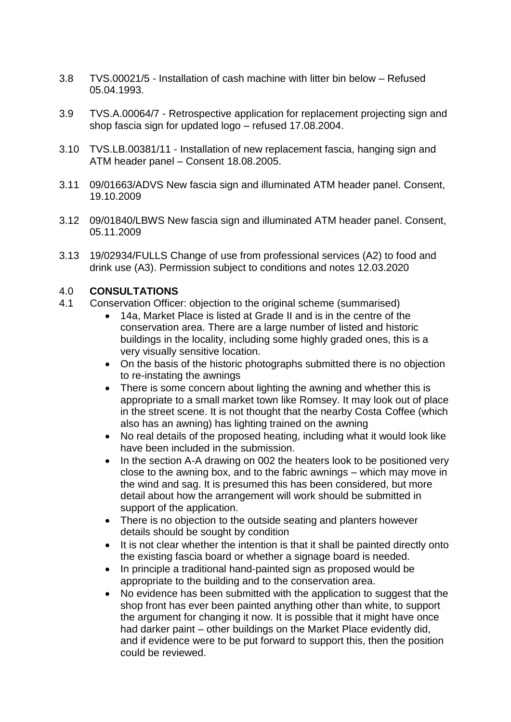- 3.8 TVS.00021/5 Installation of cash machine with litter bin below Refused 05.04.1993.
- 3.9 TVS.A.00064/7 Retrospective application for replacement projecting sign and shop fascia sign for updated logo – refused 17.08.2004.
- 3.10 TVS.LB.00381/11 Installation of new replacement fascia, hanging sign and ATM header panel – Consent 18.08.2005.
- 3.11 09/01663/ADVS New fascia sign and illuminated ATM header panel. Consent, 19.10.2009
- 3.12 09/01840/LBWS New fascia sign and illuminated ATM header panel. Consent, 05.11.2009
- 3.13 19/02934/FULLS Change of use from professional services (A2) to food and drink use (A3). Permission subject to conditions and notes 12.03.2020

### 4.0 **CONSULTATIONS**

- 4.1 Conservation Officer: objection to the original scheme (summarised)
	- 14a, Market Place is listed at Grade II and is in the centre of the conservation area. There are a large number of listed and historic buildings in the locality, including some highly graded ones, this is a very visually sensitive location.
	- On the basis of the historic photographs submitted there is no objection to re-instating the awnings
	- There is some concern about lighting the awning and whether this is appropriate to a small market town like Romsey. It may look out of place in the street scene. It is not thought that the nearby Costa Coffee (which also has an awning) has lighting trained on the awning
	- No real details of the proposed heating, including what it would look like have been included in the submission.
	- In the section A-A drawing on 002 the heaters look to be positioned very close to the awning box, and to the fabric awnings – which may move in the wind and sag. It is presumed this has been considered, but more detail about how the arrangement will work should be submitted in support of the application.
	- There is no objection to the outside seating and planters however details should be sought by condition
	- It is not clear whether the intention is that it shall be painted directly onto the existing fascia board or whether a signage board is needed.
	- In principle a traditional hand-painted sign as proposed would be appropriate to the building and to the conservation area.
	- No evidence has been submitted with the application to suggest that the shop front has ever been painted anything other than white, to support the argument for changing it now. It is possible that it might have once had darker paint – other buildings on the Market Place evidently did, and if evidence were to be put forward to support this, then the position could be reviewed.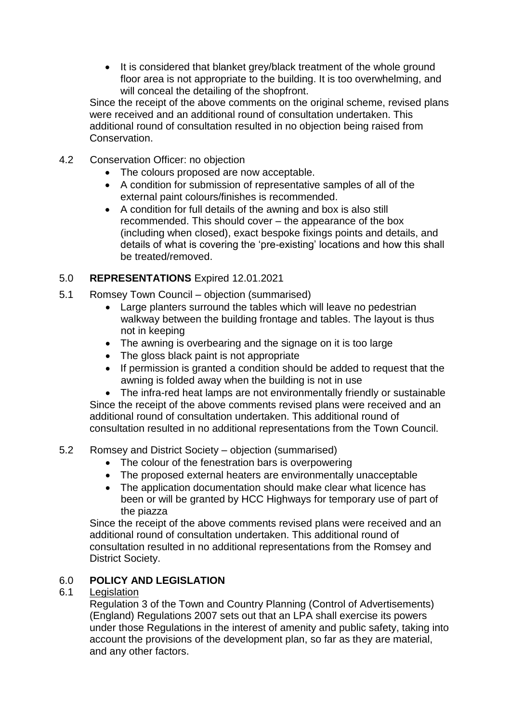• It is considered that blanket grey/black treatment of the whole ground floor area is not appropriate to the building. It is too overwhelming, and will conceal the detailing of the shopfront.

Since the receipt of the above comments on the original scheme, revised plans were received and an additional round of consultation undertaken. This additional round of consultation resulted in no objection being raised from Conservation.

- 4.2 Conservation Officer: no objection
	- The colours proposed are now acceptable.
	- A condition for submission of representative samples of all of the external paint colours/finishes is recommended.
	- A condition for full details of the awning and box is also still recommended. This should cover – the appearance of the box (including when closed), exact bespoke fixings points and details, and details of what is covering the 'pre-existing' locations and how this shall be treated/removed.

# 5.0 **REPRESENTATIONS** Expired 12.01.2021

- 5.1 Romsey Town Council objection (summarised)
	- Large planters surround the tables which will leave no pedestrian walkway between the building frontage and tables. The layout is thus not in keeping
	- The awning is overbearing and the signage on it is too large
	- The gloss black paint is not appropriate
	- If permission is granted a condition should be added to request that the awning is folded away when the building is not in use

• The infra-red heat lamps are not environmentally friendly or sustainable Since the receipt of the above comments revised plans were received and an additional round of consultation undertaken. This additional round of consultation resulted in no additional representations from the Town Council.

# 5.2 Romsey and District Society – objection (summarised)

- The colour of the fenestration bars is overpowering
- The proposed external heaters are environmentally unacceptable
- The application documentation should make clear what licence has been or will be granted by HCC Highways for temporary use of part of the piazza

Since the receipt of the above comments revised plans were received and an additional round of consultation undertaken. This additional round of consultation resulted in no additional representations from the Romsey and District Society.

# 6.0 **POLICY AND LEGISLATION**

## 6.1 Legislation

Regulation 3 of the Town and Country Planning (Control of Advertisements) (England) Regulations 2007 sets out that an LPA shall exercise its powers under those Regulations in the interest of amenity and public safety, taking into account the provisions of the development plan, so far as they are material, and any other factors.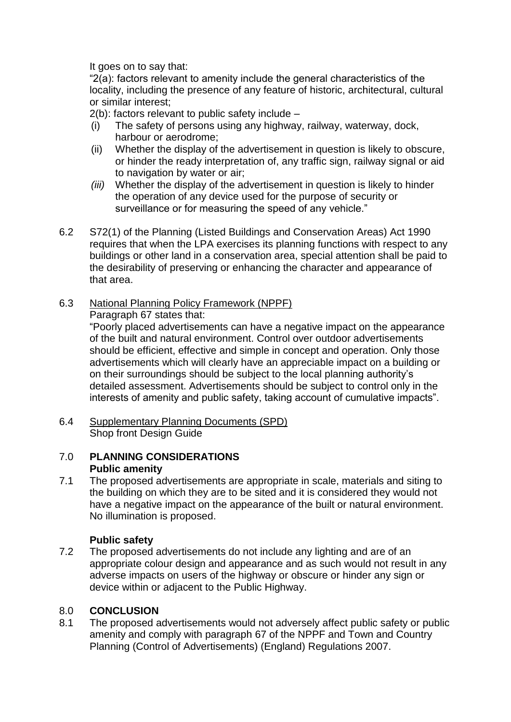It goes on to say that:

"2(a): factors relevant to amenity include the general characteristics of the locality, including the presence of any feature of historic, architectural, cultural or similar interest;

2(b): factors relevant to public safety include –

- (i) The safety of persons using any highway, railway, waterway, dock, harbour or aerodrome;
- (ii) Whether the display of the advertisement in question is likely to obscure, or hinder the ready interpretation of, any traffic sign, railway signal or aid to navigation by water or air;
- *(iii)* Whether the display of the advertisement in question is likely to hinder the operation of any device used for the purpose of security or surveillance or for measuring the speed of any vehicle."
- 6.2 S72(1) of the Planning (Listed Buildings and Conservation Areas) Act 1990 requires that when the LPA exercises its planning functions with respect to any buildings or other land in a conservation area, special attention shall be paid to the desirability of preserving or enhancing the character and appearance of that area.
- 6.3 National Planning Policy Framework (NPPF)

Paragraph 67 states that:

"Poorly placed advertisements can have a negative impact on the appearance of the built and natural environment. Control over outdoor advertisements should be efficient, effective and simple in concept and operation. Only those advertisements which will clearly have an appreciable impact on a building or on their surroundings should be subject to the local planning authority's detailed assessment. Advertisements should be subject to control only in the interests of amenity and public safety, taking account of cumulative impacts".

6.4 Supplementary Planning Documents (SPD) Shop front Design Guide

## 7.0 **PLANNING CONSIDERATIONS Public amenity**

7.1 The proposed advertisements are appropriate in scale, materials and siting to the building on which they are to be sited and it is considered they would not have a negative impact on the appearance of the built or natural environment. No illumination is proposed.

# **Public safety**

7.2 The proposed advertisements do not include any lighting and are of an appropriate colour design and appearance and as such would not result in any adverse impacts on users of the highway or obscure or hinder any sign or device within or adjacent to the Public Highway.

## 8.0 **CONCLUSION**

8.1 The proposed advertisements would not adversely affect public safety or public amenity and comply with paragraph 67 of the NPPF and Town and Country Planning (Control of Advertisements) (England) Regulations 2007.